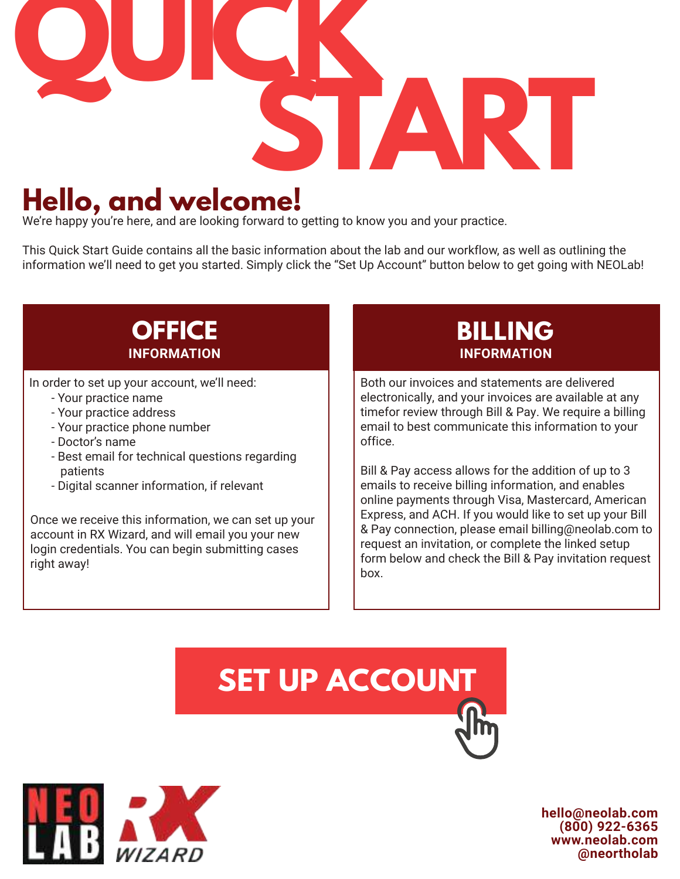

### **Hello, and welcome!**

We're happy you're here, and are looking forward to getting to know you and your practice.

This Quick Start Guide contains all the basic information about the lab and our workflow, as well as outlining the information we'll need to get you started. Simply click the "Set Up Account" button below to get going with NEOLab!

- Your practice name
- Your practice address
- Your practice phone number
- Doctor's name
- Best email for technical questions regarding patients
- Digital scanner information, if relevant

Once we receive this information, we can set up your account in RX Wizard, and will email you your new login credentials. You can begin submitting cases right away!

### **OFFICE BILLING INFORMATION INFORMATION**

In order to set up your account, we'll need: **Both our invoices and statements are delivered** electronically, and your invoices are available at any timefor review through Bill & Pay. We require a billing email to best communicate this information to your office.

> Bill & Pay access allows for the addition of up to 3 emails to receive billing information, and enables online payments through Visa, Mastercard, American Express, and ACH. If you would like to set up your Bill & Pay connection, please email billing@neolab.com to request an invitation, or complete the linked setup form below and check the Bill & Pay invitation request box.

# **[SET UP ACCOUNT](https://www.cognitoforms.com/NewEnglandOrthodonticLaboratoryIncNEOLab/NewAccountSetUp)**



**hello@neolab.com (800) 922-6365 www.neolab.com @neortholab**